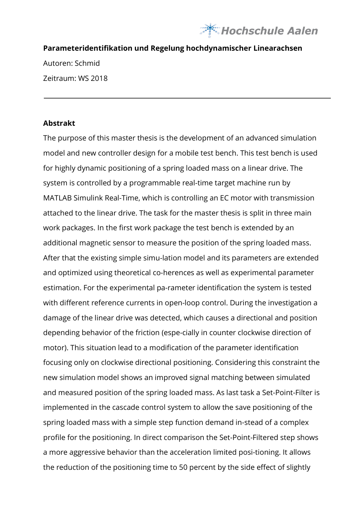

## **Parameteridentifikation und Regelung hochdynamischer Linearachsen**

Autoren: Schmid Zeitraum: WS 2018

## **Abstrakt**

The purpose of this master thesis is the development of an advanced simulation model and new controller design for a mobile test bench. This test bench is used for highly dynamic positioning of a spring loaded mass on a linear drive. The system is controlled by a programmable real-time target machine run by MATLAB Simulink Real-Time, which is controlling an EC motor with transmission attached to the linear drive. The task for the master thesis is split in three main work packages. In the first work package the test bench is extended by an additional magnetic sensor to measure the position of the spring loaded mass. After that the existing simple simu-lation model and its parameters are extended and optimized using theoretical co-herences as well as experimental parameter estimation. For the experimental pa-rameter identification the system is tested with different reference currents in open-loop control. During the investigation a damage of the linear drive was detected, which causes a directional and position depending behavior of the friction (espe-cially in counter clockwise direction of motor). This situation lead to a modification of the parameter identification focusing only on clockwise directional positioning. Considering this constraint the new simulation model shows an improved signal matching between simulated and measured position of the spring loaded mass. As last task a Set-Point-Filter is implemented in the cascade control system to allow the save positioning of the spring loaded mass with a simple step function demand in-stead of a complex profile for the positioning. In direct comparison the Set-Point-Filtered step shows a more aggressive behavior than the acceleration limited posi-tioning. It allows the reduction of the positioning time to 50 percent by the side effect of slightly